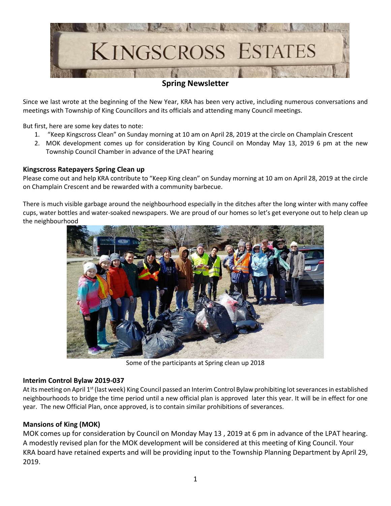

# **Spring Newsletter**

Since we last wrote at the beginning of the New Year, KRA has been very active, including numerous conversations and meetings with Township of King Councillors and its officials and attending many Council meetings.

But first, here are some key dates to note:

- 1. "Keep Kingscross Clean" on Sunday morning at 10 am on April 28, 2019 at the circle on Champlain Crescent
- 2. MOK development comes up for consideration by King Council on Monday May 13, 2019 6 pm at the new Township Council Chamber in advance of the LPAT hearing

#### **Kingscross Ratepayers Spring Clean up**

Please come out and help KRA contribute to "Keep King clean" on Sunday morning at 10 am on April 28, 2019 at the circle on Champlain Crescent and be rewarded with a community barbecue.

There is much visible garbage around the neighbourhood especially in the ditches after the long winter with many coffee cups, water bottles and water-soaked newspapers. We are proud of our homes so let's get everyone out to help clean up the neighbourhood



Some of the participants at Spring clean up 2018

#### **Interim Control Bylaw 2019-037**

At its meeting on April 1<sup>st</sup> (last week) King Council passed an Interim Control Bylaw prohibiting lot severances in established neighbourhoods to bridge the time period until a new official plan is approved later this year. It will be in effect for one year. The new Official Plan, once approved, is to contain similar prohibitions of severances.

## **Mansions of King (MOK)**

MOK comes up for consideration by Council on Monday May 13 , 2019 at 6 pm in advance of the LPAT hearing. A modestly revised plan for the MOK development will be considered at this meeting of King Council. Your KRA board have retained experts and will be providing input to the Township Planning Department by April 29, 2019.